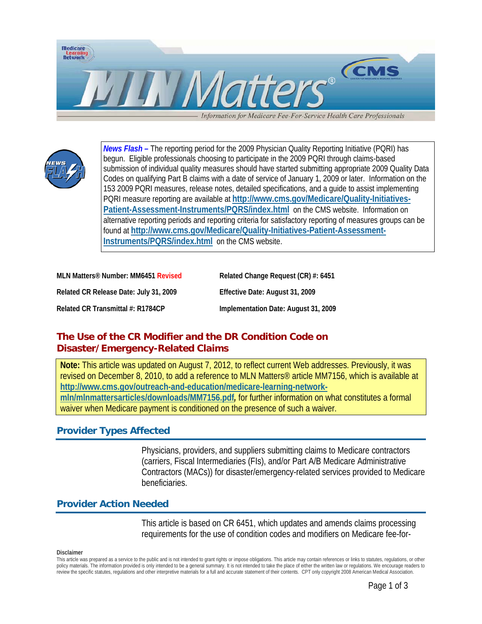

Information for Medicare Fee-For-Service Health Care Professionals



*News Flash –* The reporting period for the 2009 Physician Quality Reporting Initiative (PQRI) has begun. Eligible professionals choosing to participate in the 2009 PQRI through claims-based submission of individual quality measures should have started submitting appropriate 2009 Quality Data Codes on qualifying Part B claims with a date of service of January 1, 2009 or later. Information on the 153 2009 PQRI measures, release notes, detailed specifications, and a guide to assist implementing PQRI measure reporting are available at **[http://www.cms.gov/Medicare/Quality-Initiatives-](http://www.cms.gov/Medicare/Quality-Initiatives-Patient-Assessment-Instruments/PQRS/index.html)[Patient-Assessment-Instruments/PQRS/index.html](http://www.cms.gov/Medicare/Quality-Initiatives-Patient-Assessment-Instruments/PQRS/index.html)** on the CMS website. Information on alternative reporting periods and reporting criteria for satisfactory reporting of measures groups can be found at **[http://www.cms.gov/Medicare/Quality-Initiatives-Patient-Assessment-](http://www.cms.gov/Medicare/Quality-Initiatives-Patient-Assessment-Instruments/PQRS/index.html)[Instruments/PQRS/index.html](http://www.cms.gov/Medicare/Quality-Initiatives-Patient-Assessment-Instruments/PQRS/index.html)** on the CMS website.

| MLN Matters <sup>®</sup> Number: MM6451 Revised | Related Change Request (CR) #: 6451  |
|-------------------------------------------------|--------------------------------------|
| Related CR Release Date: July 31, 2009          | Effective Date: August 31, 2009      |
| Related CR Transmittal #: R1784CP               | Implementation Date: August 31, 2009 |

# **The Use of the CR Modifier and the DR Condition Code on Disaster/Emergency-Related Claims**

**Note:** This article was updated on August 7, 2012, to reflect current Web addresses. Previously, it was revised on December 8, 2010, to add a reference to MLN Matters® article MM7156, which is available at **[http://www.cms.gov/outreach-and-education/medicare-learning-network](http://www.cms.gov/outreach-and-education/medicare-learning-network-mln/mlnmattersarticles/downloads/MM7156.pdf)[mln/mlnmattersarticles/downloads/MM7156.pdf](http://www.cms.gov/outreach-and-education/medicare-learning-network-mln/mlnmattersarticles/downloads/MM7156.pdf)***,* for further information on what constitutes a formal waiver when Medicare payment is conditioned on the presence of such a waiver.

## **Provider Types Affected**

Physicians, providers, and suppliers submitting claims to Medicare contractors (carriers, Fiscal Intermediaries (FIs), and/or Part A/B Medicare Administrative Contractors (MACs)) for disaster/emergency-related services provided to Medicare beneficiaries.

## **Provider Action Needed**

This article is based on CR 6451, which updates and amends claims processing requirements for the use of condition codes and modifiers on Medicare fee-for-

#### **Disclaimer**

This article was prepared as a service to the public and is not intended to grant rights or impose obligations. This article may contain references or links to statutes, regulations, or other policy materials. The information provided is only intended to be a general summary. It is not intended to take the place of either the written law or regulations. We encourage readers to review the specific statutes, regulations and other interpretive materials for a full and accurate statement of their contents. CPT only copyright 2008 American Medical Association.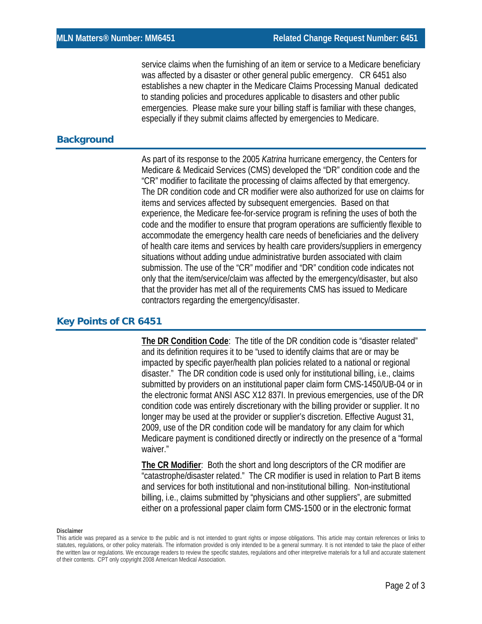service claims when the furnishing of an item or service to a Medicare beneficiary was affected by a disaster or other general public emergency. CR 6451 also establishes a new chapter in the Medicare Claims Processing Manual dedicated to standing policies and procedures applicable to disasters and other public emergencies. Please make sure your billing staff is familiar with these changes, especially if they submit claims affected by emergencies to Medicare.

## **Background**

As part of its response to the 2005 *Katrina* hurricane emergency, the Centers for Medicare & Medicaid Services (CMS) developed the "DR" condition code and the "CR" modifier to facilitate the processing of claims affected by that emergency. The DR condition code and CR modifier were also authorized for use on claims for items and services affected by subsequent emergencies. Based on that experience, the Medicare fee-for-service program is refining the uses of both the code and the modifier to ensure that program operations are sufficiently flexible to accommodate the emergency health care needs of beneficiaries and the delivery of health care items and services by health care providers/suppliers in emergency situations without adding undue administrative burden associated with claim submission. The use of the "CR" modifier and "DR" condition code indicates not only that the item/service/claim was affected by the emergency/disaster, but also that the provider has met all of the requirements CMS has issued to Medicare contractors regarding the emergency/disaster.

### **Key Points of CR 6451**

**The DR Condition Code**: The title of the DR condition code is "disaster related" and its definition requires it to be "used to identify claims that are or may be impacted by specific payer/health plan policies related to a national or regional disaster." The DR condition code is used only for institutional billing, i.e., claims submitted by providers on an institutional paper claim form CMS-1450/UB-04 or in the electronic format ANSI ASC X12 837I. In previous emergencies, use of the DR condition code was entirely discretionary with the billing provider or supplier. It no longer may be used at the provider or supplier's discretion. Effective August 31, 2009, use of the DR condition code will be mandatory for any claim for which Medicare payment is conditioned directly or indirectly on the presence of a "formal waiver."

**The CR Modifier**: Both the short and long descriptors of the CR modifier are "catastrophe/disaster related." The CR modifier is used in relation to Part B items and services for both institutional and non-institutional billing. Non-institutional billing, i.e., claims submitted by "physicians and other suppliers", are submitted either on a professional paper claim form CMS-1500 or in the electronic format

#### **Disclaimer**

This article was prepared as a service to the public and is not intended to grant rights or impose obligations. This article may contain references or links to statutes, regulations, or other policy materials. The information provided is only intended to be a general summary. It is not intended to take the place of either the written law or regulations. We encourage readers to review the specific statutes, regulations and other interpretive materials for a full and accurate statement of their contents. CPT only copyright 2008 American Medical Association.